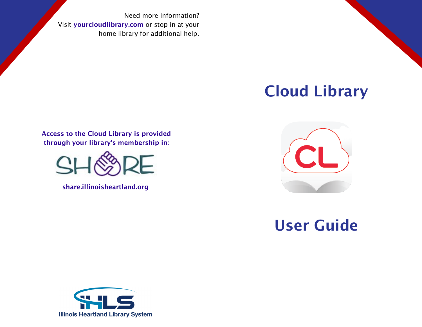Need more information? Visit yourcloudlibrary.com or stop in at your home library for additional help.

## Cloud Library

Access to the Cloud Library is provided through your library's membership in:



share.illinoisheartland.org



## User Guide